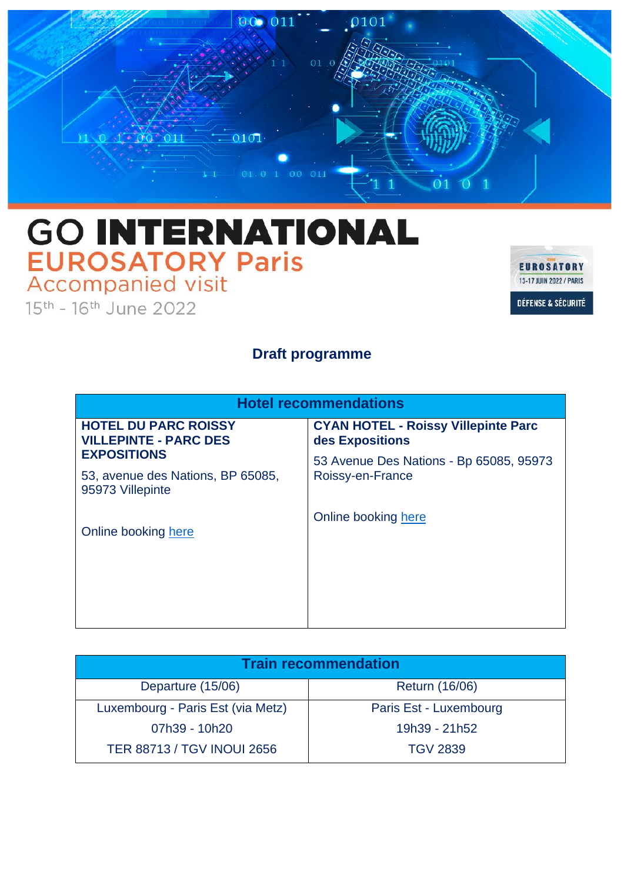

## **GO INTERNATIONAL EUROSATORY Paris**<br>Accompanied visit

15th - 16th June 2022



## **Draft programme**

| <b>Hotel recommendations</b>                                                |                                                               |
|-----------------------------------------------------------------------------|---------------------------------------------------------------|
| <b>HOTEL DU PARC ROISSY</b><br><b>VILLEPINTE - PARC DES</b>                 | <b>CYAN HOTEL - Roissy Villepinte Parc</b><br>des Expositions |
| <b>EXPOSITIONS</b><br>53, avenue des Nations, BP 65085,<br>95973 Villepinte | 53 Avenue Des Nations - Bp 65085, 95973<br>Roissy-en-France   |
| Online booking here                                                         | Online booking here                                           |
|                                                                             |                                                               |

| <b>Train recommendation</b>       |                        |  |
|-----------------------------------|------------------------|--|
| Departure (15/06)                 | <b>Return (16/06)</b>  |  |
| Luxembourg - Paris Est (via Metz) | Paris Est - Luxembourg |  |
| 07h39 - 10h20                     | 19h39 - 21h52          |  |
| <b>TER 88713 / TGV INOUI 2656</b> | <b>TGV 2839</b>        |  |